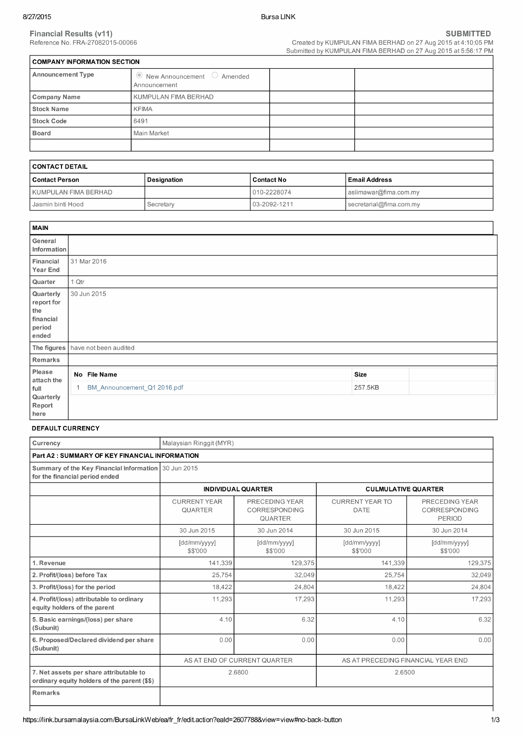Created by KUMPULAN FIMA BERHAD on 27 Aug 2015 at 4:10:05 PM<br>Submitted by KUMPULAN FIMA BERHAD on 27 Aug 2015 at 5:56:17 PM

| <b>COMPANY INFORMATION SECTION</b>                         |  |
|------------------------------------------------------------|--|
| $\bullet$ New Announcement $\circ$ Amended<br>Announcement |  |
| KUMPULAN FIMA BERHAD                                       |  |
| <b>KFIMA</b>                                               |  |
| 6491                                                       |  |
| Main Market                                                |  |
|                                                            |  |
|                                                            |  |

| CONTACT DETAIL       |             |              |                         |
|----------------------|-------------|--------------|-------------------------|
| l Contact Person     | Designation | Contact No   | Email Address           |
| KUMPULAN FIMA BERHAD |             | 010-2228074  | aslimawar@fima.com.my   |
| I Jasmin binti Hood  | Secretary   | 03-2092-1211 | secretarial@fima.com.my |

| <b>MAIN</b>                                                    |       |                                   |             |  |
|----------------------------------------------------------------|-------|-----------------------------------|-------------|--|
| General<br>Information                                         |       |                                   |             |  |
| Financial<br>Year End                                          |       | 31 Mar 2016                       |             |  |
| Quarter                                                        | 1 Qtr |                                   |             |  |
| Quarterly<br>report for<br>the<br>financial<br>period<br>ended |       | 30 Jun 2015                       |             |  |
|                                                                |       | The figures have not been audited |             |  |
| Remarks                                                        |       |                                   |             |  |
| Please<br>attach the                                           |       | No File Name                      | <b>Size</b> |  |
| full<br>Quarterly<br>Report<br>here                            |       | BM_Announcement_Q1 2016.pdf       | 257.5KB     |  |

#### **DEFAULT CURRENCY**

| Currency                                                                                | Malaysian Ringgit (MYR)               |                                                   |                                       |                                                  |
|-----------------------------------------------------------------------------------------|---------------------------------------|---------------------------------------------------|---------------------------------------|--------------------------------------------------|
| <b>Part A2: SUMMARY OF KEY FINANCIAL INFORMATION</b>                                    |                                       |                                                   |                                       |                                                  |
| Summary of the Key Financial Information 30 Jun 2015<br>for the financial period ended  |                                       |                                                   |                                       |                                                  |
|                                                                                         |                                       | <b>INDIVIDUAL QUARTER</b>                         | <b>CULMULATIVE QUARTER</b>            |                                                  |
|                                                                                         | <b>CURRENT YEAR</b><br><b>QUARTER</b> | PRECEDING YEAR<br>CORRESPONDING<br><b>QUARTER</b> | <b>CURRENT YEAR TO</b><br><b>DATE</b> | PRECEDING YEAR<br>CORRESPONDING<br><b>PERIOD</b> |
|                                                                                         | 30 Jun 2015                           | 30 Jun 2014                                       | 30 Jun 2015                           | 30 Jun 2014                                      |
|                                                                                         | [dd/mm/yyyy]<br>\$\$'000              | [dd/mm/yyyy]<br>\$\$'000                          | [dd/mm/yyyy]<br>\$\$'000              | [dd/mm/yyyy]<br>\$\$'000                         |
| 1. Revenue                                                                              | 141,339                               | 129,375                                           | 141.339                               | 129,375                                          |
| 2. Profit/(loss) before Tax                                                             | 25,754                                | 32,049                                            | 25,754                                | 32,049                                           |
| 3. Profit/(loss) for the period                                                         | 18,422                                | 24,804                                            | 18,422                                | 24,804                                           |
| 4. Profit/(loss) attributable to ordinary<br>equity holders of the parent               | 11,293                                | 17,293                                            | 11,293                                | 17,293                                           |
| 5. Basic earnings/(loss) per share<br>(Subunit)                                         | 4.10                                  | 6.32                                              | 4.10                                  | 6.32                                             |
| 6. Proposed/Declared dividend per share<br>(Subunit)                                    | 0.00                                  | 0.00                                              | 0.00                                  | 0.00                                             |
|                                                                                         |                                       | AS AT END OF CURRENT QUARTER                      | AS AT PRECEDING FINANCIAL YEAR END    |                                                  |
| 7. Net assets per share attributable to<br>ordinary equity holders of the parent (\$\$) |                                       | 2.6800                                            | 2.6500                                |                                                  |
| <b>Remarks</b>                                                                          |                                       |                                                   |                                       |                                                  |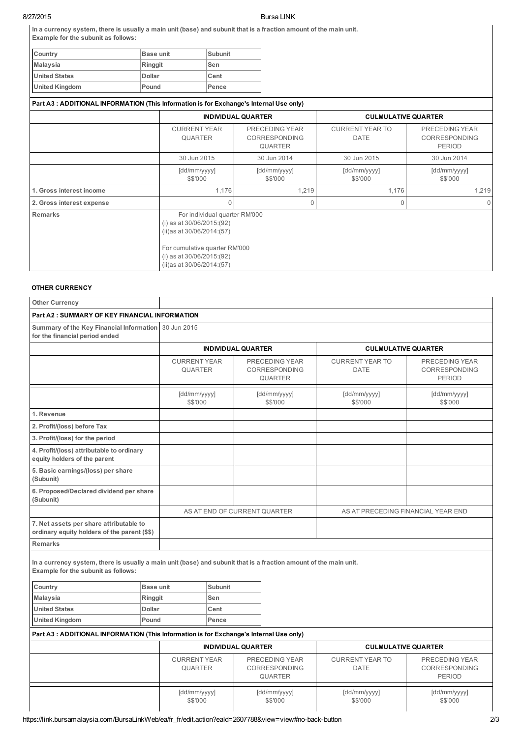# 8/27/2015 Bursa LINK

| In a currency system, there is usually a main unit (base) and subunit that is a fraction amount of the main unit. |  |
|-------------------------------------------------------------------------------------------------------------------|--|
| Example for the subunit as follows:                                                                               |  |

| <b>Base unit</b> | Subunit |
|------------------|---------|
| Ringgit          | Sen     |
| <b>Dollar</b>    | Cent    |
| Pound            | Pence   |
|                  |         |

| Part A3: ADDITIONAL INFORMATION (This Information is for Exchange's Internal Use only) |                                                                                                                                                                                             |                                                          |                                       |                                                         |
|----------------------------------------------------------------------------------------|---------------------------------------------------------------------------------------------------------------------------------------------------------------------------------------------|----------------------------------------------------------|---------------------------------------|---------------------------------------------------------|
|                                                                                        |                                                                                                                                                                                             | <b>INDIVIDUAL QUARTER</b>                                | <b>CULMULATIVE QUARTER</b>            |                                                         |
|                                                                                        | <b>CURRENT YEAR</b><br><b>QUARTER</b>                                                                                                                                                       | PRECEDING YEAR<br><b>CORRESPONDING</b><br><b>QUARTER</b> | <b>CURRENT YEAR TO</b><br><b>DATE</b> | PRECEDING YEAR<br><b>CORRESPONDING</b><br><b>PERIOD</b> |
|                                                                                        | 30 Jun 2015                                                                                                                                                                                 | 30 Jun 2014                                              | 30 Jun 2015                           | 30 Jun 2014                                             |
|                                                                                        | [dd/mm/yyyy]<br>\$\$'000                                                                                                                                                                    | [dd/mm/yyyy]<br>\$\$'000                                 | [dd/mm/yyyy]<br>\$\$'000              | [dd/mm/yyyy]<br>\$\$'000                                |
| 1. Gross interest income                                                               | 1,176                                                                                                                                                                                       | 1,219                                                    | 1,176<br>0                            | 1,219                                                   |
| 2. Gross interest expense                                                              |                                                                                                                                                                                             | O                                                        |                                       |                                                         |
| Remarks                                                                                | For individual quarter RM'000<br>(i) as at $30/06/2015(92)$<br>(ii) as at $30/06/2014$ : (57)<br>For cumulative quarter RM'000<br>(i) as at $30/06/2015(92)$<br>(ii) as at 30/06/2014: (57) |                                                          |                                       |                                                         |

# **OTHER CURRENCY**

| Other Currency                                                                                                                                           |                        |                                       |                           |                                                          |                                       |                                                  |
|----------------------------------------------------------------------------------------------------------------------------------------------------------|------------------------|---------------------------------------|---------------------------|----------------------------------------------------------|---------------------------------------|--------------------------------------------------|
| Part A2 : SUMMARY OF KEY FINANCIAL INFORMATION                                                                                                           |                        |                                       |                           |                                                          |                                       |                                                  |
| Summary of the Key Financial Information 30 Jun 2015<br>for the financial period ended                                                                   |                        |                                       |                           |                                                          |                                       |                                                  |
|                                                                                                                                                          |                        |                                       | <b>INDIVIDUAL QUARTER</b> |                                                          |                                       | <b>CULMULATIVE QUARTER</b>                       |
|                                                                                                                                                          |                        | <b>CURRENT YEAR</b><br><b>QUARTER</b> |                           | PRECEDING YEAR<br><b>CORRESPONDING</b><br><b>QUARTER</b> | <b>CURRENT YEAR TO</b><br><b>DATE</b> | PRECEDING YEAR<br>CORRESPONDING<br><b>PERIOD</b> |
|                                                                                                                                                          |                        | [dd/mm/yyyy]<br>\$\$'000              |                           | [dd/mm/yyyy]<br>\$\$'000                                 | [dd/mm/yyyy]<br>\$\$'000              | [dd/mm/yyyy]<br>\$\$'000                         |
| 1. Revenue                                                                                                                                               |                        |                                       |                           |                                                          |                                       |                                                  |
| 2. Profit/(loss) before Tax                                                                                                                              |                        |                                       |                           |                                                          |                                       |                                                  |
| 3. Profit/(loss) for the period                                                                                                                          |                        |                                       |                           |                                                          |                                       |                                                  |
| 4. Profit/(loss) attributable to ordinary<br>equity holders of the parent                                                                                |                        |                                       |                           |                                                          |                                       |                                                  |
| 5. Basic earnings/(loss) per share<br>(Subunit)                                                                                                          |                        |                                       |                           |                                                          |                                       |                                                  |
| 6. Proposed/Declared dividend per share<br>(Subunit)                                                                                                     |                        |                                       |                           |                                                          |                                       |                                                  |
|                                                                                                                                                          |                        |                                       |                           | AS AT END OF CURRENT QUARTER                             |                                       | AS AT PRECEDING FINANCIAL YEAR END               |
| 7. Net assets per share attributable to<br>ordinary equity holders of the parent (\$\$)                                                                  |                        |                                       |                           |                                                          |                                       |                                                  |
| <b>Remarks</b>                                                                                                                                           |                        |                                       |                           |                                                          |                                       |                                                  |
| In a currency system, there is usually a main unit (base) and subunit that is a fraction amount of the main unit.<br>Example for the subunit as follows: |                        |                                       |                           |                                                          |                                       |                                                  |
| Country                                                                                                                                                  | <b>Base unit</b>       |                                       | <b>Subunit</b>            |                                                          |                                       |                                                  |
| <b>Malaysia</b>                                                                                                                                          | Ringgit                |                                       | Sen                       |                                                          |                                       |                                                  |
| <b>United States</b>                                                                                                                                     | <b>Dollar</b><br>Pound |                                       | Cent<br>Pence             |                                                          |                                       |                                                  |
| <b>United Kingdom</b>                                                                                                                                    |                        |                                       |                           |                                                          |                                       |                                                  |
| Part A3 : ADDITIONAL INFORMATION (This Information is for Exchange's Internal Use only)                                                                  |                        |                                       |                           |                                                          |                                       |                                                  |
|                                                                                                                                                          |                        |                                       | <b>INDIVIDUAL QUARTER</b> |                                                          |                                       | <b>CULMULATIVE QUARTER</b>                       |
|                                                                                                                                                          |                        | <b>CURRENT YEAR</b><br><b>QUARTER</b> |                           | PRECEDING YEAR<br>CORRESPONDING<br><b>QUARTER</b>        | <b>CURRENT YEAR TO</b><br><b>DATE</b> | PRECEDING YEAR<br>CORRESPONDING<br><b>PERIOD</b> |
|                                                                                                                                                          |                        | [dd/mm/yyyy]<br>\$\$'000              |                           | [dd/mm/yyyy]<br>\$\$'000                                 | [dd/mm/yyyy]<br>\$\$'000              | [dd/mm/yyyy]<br>\$\$'000                         |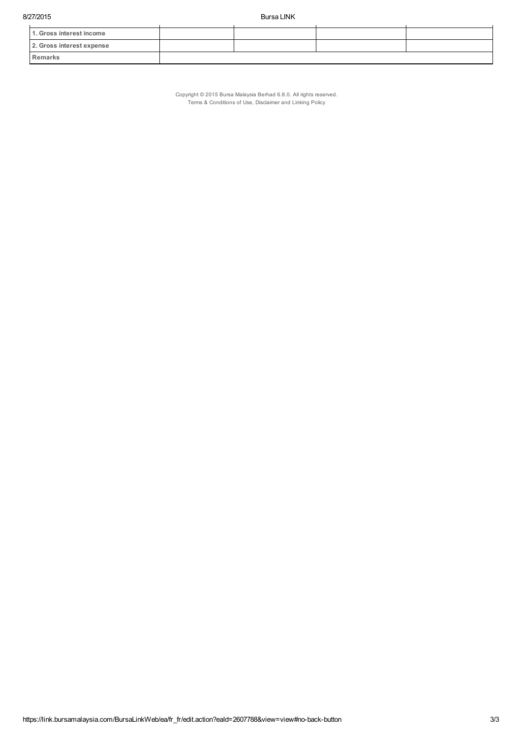| 1. Gross interest income  |  |  |
|---------------------------|--|--|
| 2. Gross interest expense |  |  |
| <b>Remarks</b>            |  |  |

Copyright © 2015 Bursa Malaysia Berhad 6.8.0. All rights reserved. Terms & Conditions of Use, Disclaimer and Linking Policy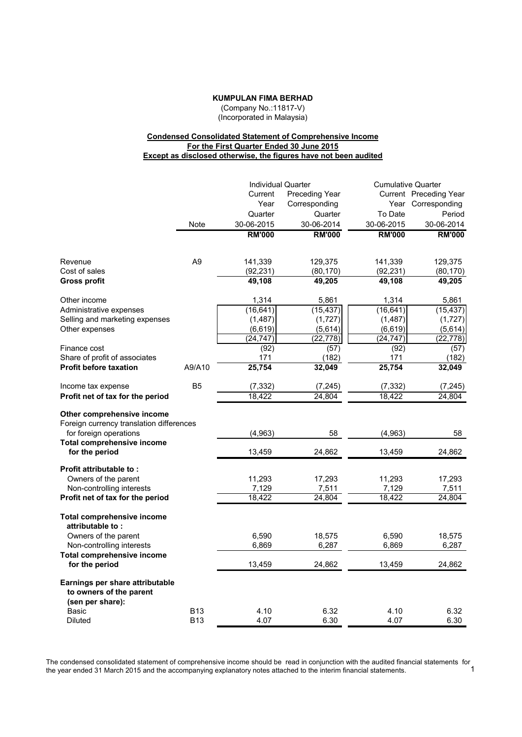**KUMPULAN FIMA BERHAD**

(Company No.:11817-V) (Incorporated in Malaysia)

# **Condensed Consolidated Statement of Comprehensive Income For the First Quarter Ended 30 June 2015 Except as disclosed otherwise, the figures have not been audited**

|                                                       |                | <b>Individual Quarter</b> |                | <b>Cumulative Quarter</b> |                        |
|-------------------------------------------------------|----------------|---------------------------|----------------|---------------------------|------------------------|
|                                                       |                | Current                   | Preceding Year |                           | Current Preceding Year |
|                                                       |                | Year                      | Corresponding  |                           | Year Corresponding     |
|                                                       |                | Quarter                   | Quarter        | To Date                   | Period                 |
|                                                       | Note           | 30-06-2015                | 30-06-2014     | 30-06-2015                | 30-06-2014             |
|                                                       |                | <b>RM'000</b>             | <b>RM'000</b>  | <b>RM'000</b>             | <b>RM'000</b>          |
| Revenue                                               | A <sub>9</sub> | 141,339                   | 129,375        | 141,339                   | 129,375                |
| Cost of sales                                         |                | (92, 231)                 | (80, 170)      | (92, 231)                 | (80, 170)              |
| <b>Gross profit</b>                                   |                | 49,108                    | 49,205         | 49,108                    | 49,205                 |
| Other income                                          |                | 1,314                     | 5,861          | 1,314                     | 5,861                  |
| Administrative expenses                               |                | (16, 641)                 | (15, 437)      | (16, 641)                 | (15, 437)              |
| Selling and marketing expenses                        |                | (1, 487)                  | (1,727)        | (1, 487)                  | (1, 727)               |
| Other expenses                                        |                | (6, 619)                  | (5,614)        | (6, 619)                  | (5,614)                |
|                                                       |                | (24, 747)                 | (22, 778)      | (24, 747)                 | (22, 778)              |
| Finance cost                                          |                | (92)                      | (57)           | (92)                      | (57)                   |
| Share of profit of associates                         |                | 171                       | (182)          | 171                       | (182)                  |
| <b>Profit before taxation</b>                         | A9/A10         | 25,754                    | 32,049         | 25,754                    | 32,049                 |
| Income tax expense                                    | B <sub>5</sub> | (7, 332)                  | (7, 245)       | (7, 332)                  | (7, 245)               |
| Profit net of tax for the period                      |                | 18,422                    | 24,804         | 18,422                    | 24,804                 |
| Other comprehensive income                            |                |                           |                |                           |                        |
| Foreign currency translation differences              |                |                           |                |                           |                        |
| for foreign operations                                |                | (4,963)                   | 58             | (4,963)                   | 58                     |
| <b>Total comprehensive income</b><br>for the period   |                | 13,459                    | 24,862         | 13,459                    | 24,862                 |
|                                                       |                |                           |                |                           |                        |
| Profit attributable to:                               |                | 11,293                    | 17,293         | 11,293                    |                        |
| Owners of the parent<br>Non-controlling interests     |                | 7,129                     | 7,511          | 7,129                     | 17,293<br>7,511        |
| Profit net of tax for the period                      |                | 18,422                    | 24,804         | 18,422                    | 24,804                 |
|                                                       |                |                           |                |                           |                        |
| <b>Total comprehensive income</b><br>attributable to: |                |                           |                |                           |                        |
| Owners of the parent                                  |                | 6,590                     | 18,575         | 6,590                     | 18,575                 |
| Non-controlling interests                             |                | 6,869                     | 6,287          | 6,869                     | 6,287                  |
| <b>Total comprehensive income</b>                     |                |                           |                |                           |                        |
| for the period                                        |                | 13,459                    | 24,862         | 13,459                    | 24,862                 |
| Earnings per share attributable                       |                |                           |                |                           |                        |
| to owners of the parent                               |                |                           |                |                           |                        |
| (sen per share):                                      |                |                           |                |                           |                        |
| Basic                                                 | <b>B13</b>     | 4.10                      | 6.32           | 4.10                      | 6.32                   |
| <b>Diluted</b>                                        | <b>B13</b>     | 4.07                      | 6.30           | 4.07                      | 6.30                   |

The condensed consolidated statement of comprehensive income should be read in conjunction with the audited financial statements for<br>1 the year ended 31 March 2015 and the accompanying explanatory notes attached to the interim financial statements. 1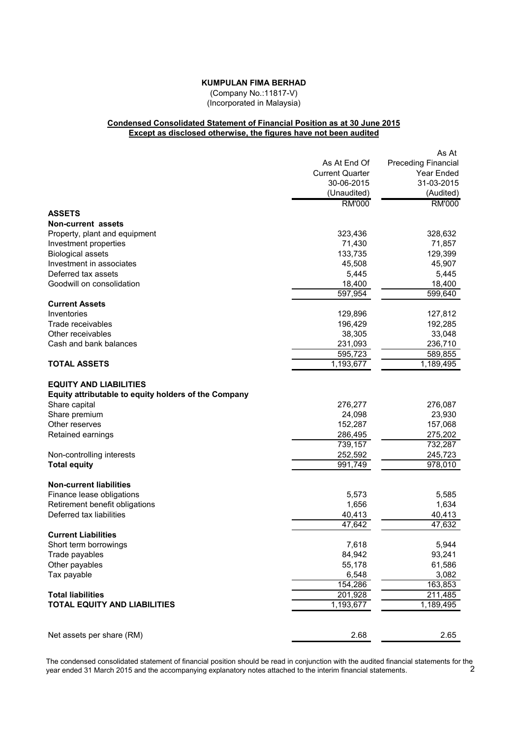# **KUMPULAN FIMA BERHAD**

(Company No.:11817-V) (Incorporated in Malaysia)

# **Condensed Consolidated Statement of Financial Position as at 30 June 2015 Except as disclosed otherwise, the figures have not been audited**

|                                                                                                        |                        | As At                      |
|--------------------------------------------------------------------------------------------------------|------------------------|----------------------------|
|                                                                                                        | As At End Of           | <b>Preceding Financial</b> |
|                                                                                                        | <b>Current Quarter</b> | Year Ended                 |
|                                                                                                        | 30-06-2015             | 31-03-2015                 |
|                                                                                                        | (Unaudited)            | (Audited)                  |
|                                                                                                        | <b>RM'000</b>          | <b>RM'000</b>              |
| <b>ASSETS</b>                                                                                          |                        |                            |
| <b>Non-current assets</b>                                                                              |                        |                            |
| Property, plant and equipment                                                                          | 323,436                | 328,632                    |
| Investment properties                                                                                  | 71,430                 | 71,857                     |
| <b>Biological assets</b>                                                                               | 133,735                | 129,399                    |
| Investment in associates                                                                               | 45,508                 | 45,907                     |
| Deferred tax assets                                                                                    | 5,445                  | 5,445                      |
| Goodwill on consolidation                                                                              | 18,400                 | 18,400                     |
|                                                                                                        | 597,954                | 599,640                    |
| <b>Current Assets</b>                                                                                  |                        |                            |
| Inventories                                                                                            | 129,896                | 127,812                    |
| Trade receivables                                                                                      | 196,429                | 192,285                    |
| Other receivables                                                                                      | 38,305                 | 33,048                     |
| Cash and bank balances                                                                                 | 231,093                | 236,710                    |
|                                                                                                        | 595,723                | 589,855                    |
| <b>TOTAL ASSETS</b>                                                                                    | 1,193,677              | 1,189,495                  |
| <b>EQUITY AND LIABILITIES</b><br>Equity attributable to equity holders of the Company<br>Share capital | 276,277                | 276,087                    |
| Share premium                                                                                          | 24,098                 | 23,930                     |
| Other reserves                                                                                         | 152,287                | 157,068                    |
| Retained earnings                                                                                      | 286,495                | 275,202                    |
|                                                                                                        | 739,157                | 732,287                    |
| Non-controlling interests                                                                              | 252,592                | 245,723                    |
| <b>Total equity</b>                                                                                    | 991,749                | $\overline{978,}010$       |
| <b>Non-current liabilities</b>                                                                         |                        |                            |
| Finance lease obligations                                                                              | 5,573                  | 5,585                      |
| Retirement benefit obligations                                                                         | 1,656                  | 1,634                      |
| Deferred tax liabilities                                                                               | 40,413                 | 40,413                     |
|                                                                                                        | 47,642                 | 47,632                     |
| <b>Current Liabilities</b>                                                                             |                        |                            |
| Short term borrowings                                                                                  | 7,618                  | 5,944                      |
| Trade payables                                                                                         | 84,942                 | 93,241                     |
| Other payables                                                                                         | 55,178                 | 61,586                     |
| Tax payable                                                                                            | 6,548                  | 3,082                      |
|                                                                                                        | 154,286                | 163,853                    |
| <b>Total liabilities</b>                                                                               | 201,928                | 211,485                    |
| <b>TOTAL EQUITY AND LIABILITIES</b>                                                                    | 1,193,677              | 1,189,495                  |
|                                                                                                        |                        |                            |
| Net assets per share (RM)                                                                              | 2.68                   | 2.65                       |

The condensed consolidated statement of financial position should be read in conjunction with the audited financial statements for the year ended 31 March 2015 and the accompanying explanatory notes attached to the interim financial statements. 2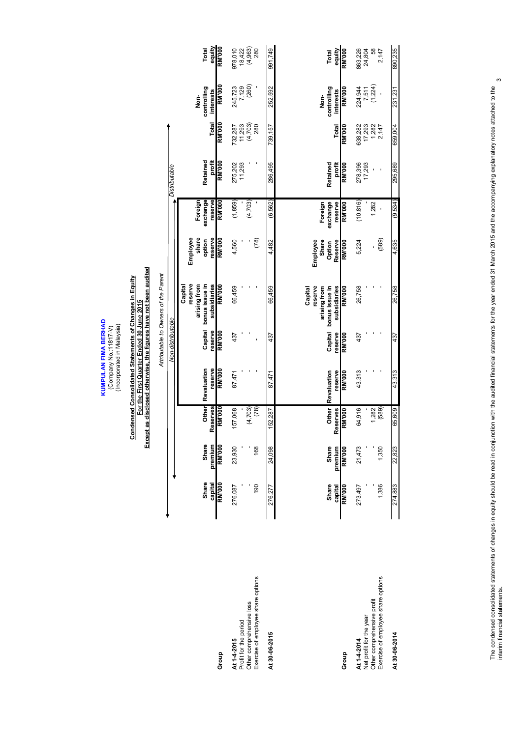KUMPULAN FIMA BERHAD<br>(Company No.:11817-V)<br>(Incorporated in Malaysia) **KUMPULAN FIMA BERHAD** (Company No.:11817-V)

(Incorporated in Malaysia)

# Condensed Consolidated Statements of Changes in Equity<br>For the First Quarter Ended 30 June 2015<br>Except as disclosed otherwise, the figures have not been audited **Except as disclosed otherwise, the figures have not been audited Condensed Consolidated Statements of Changes in Equity For the First Quarter Ended 30 June 2015**

|                                                                                                            |                                   |                                          |                                           |                                  |                                     | Attributable to Owners of the Parent                                           |                                                  |                                                 |                              |                                     |                                                   |                                           |
|------------------------------------------------------------------------------------------------------------|-----------------------------------|------------------------------------------|-------------------------------------------|----------------------------------|-------------------------------------|--------------------------------------------------------------------------------|--------------------------------------------------|-------------------------------------------------|------------------------------|-------------------------------------|---------------------------------------------------|-------------------------------------------|
|                                                                                                            |                                   |                                          |                                           |                                  | Non-distributable                   |                                                                                |                                                  |                                                 | Distributable                |                                     |                                                   |                                           |
|                                                                                                            | <b>Share</b><br>capital           | Share<br>premium                         | Other<br>Reserves                         | Revaluation<br>reserve           | Capital<br>reserve                  | reserve<br>subsidiaries<br>bonus issue in<br>arising from<br>Capital           | Employee<br>share<br>reserve<br>option           | exchange<br>reserve<br>Foreign                  | Retained<br>profit           | <b>Total</b>                        | controlling<br>interests<br>Non-                  | equity<br>Total                           |
| Group                                                                                                      | <b>BW.000</b>                     | <b>RM'000</b>                            | <b>RM'000</b>                             | <b>RM'000</b>                    | <b>RM'000</b>                       | <b>RM'000</b>                                                                  | <b>RM'000</b>                                    | 800.M                                           | 800.M                        | <b>RM'000</b>                       | <b>RM'000</b>                                     | <b>RM'000</b>                             |
| Exercise of employee share options<br>Other comprehensive loss<br>Profit for the period<br>At 1-4-2015     | 190<br>276,087                    | 168<br>23,930                            | (4, 703)<br>(78)<br>57,068                | 87,471                           | 437                                 | 66,459                                                                         | (78)<br>4,560                                    | (1,859)<br>(4,703)                              | 275,202<br>11,293            | (4,703)<br>280<br>11,293<br>732,287 | 245,723<br>7,129<br>(260)                         | $18,422$<br>$(4,963)$<br>$280$<br>978,010 |
| At 30-06-2015                                                                                              | 276.277                           | 24,098                                   | 152,287                                   | 87.47                            | 437                                 | 66,459                                                                         | 4,482                                            | (6, 562)                                        | 286,495                      | 739,157                             | 252,592                                           | 991,749                                   |
| Group                                                                                                      | <b>Share</b><br>RM'000<br>capital | <b>Share</b><br><b>RM'000</b><br>premium | <b>Other</b><br>Reserves<br><b>RM'000</b> | Revaluation<br>reserve<br>RM'000 | reserve<br><b>RM'000</b><br>Capital | reserve<br>arising from<br>bonus issue in<br>subsidiaries<br>RM'000<br>Capital | Share<br>Employee<br>Reserve<br>RM'000<br>Option | exchange<br>Foreign<br>reserve<br><b>RM'000</b> | Retained<br>profit<br>RM'000 | RM'000<br>Total                     | controlling<br><b>RM'000</b><br>interests<br>Non- | <b>RM'000</b><br>equity<br>Total          |
| Exercise of employee share options<br>Other comprehensive profit<br>Net profit for the year<br>At 1-4-2014 | 273,497<br>1,386                  | 21,473<br>1,350                          | (589)<br>64,916<br>1,282                  | 43,313                           | 437                                 | 26,758                                                                         | (589)<br>5,224                                   | (10, 816)<br>1,282                              | 278,396<br>17,293            | 638,282<br>1,282<br>17,293<br>2,147 | 224,944<br>7,511<br>(1,224)                       | 863,226<br>24,804<br>58<br>2,147          |
| At 30-06-2014                                                                                              | 274,883                           | 22,823                                   | 65,609                                    | 43,313                           | 437                                 | 26,758                                                                         | 4,635                                            | (9,534)                                         | 295,689                      | 659,004                             | 231,231                                           | 890,235                                   |

Group

 $\infty$ interim financial statements. 3The condensed consolidated statements of changes in equity should be read in conjunction with the audited financial statements for the year ended 31 March 2015 and the accompanying explanatory notes attached to the<br>interim The condensed consolidated statements of changes in equity should be read in conjunction with the audited financial statements for the year ended 31 March 2015 and the accompanying explanatory notes attached to the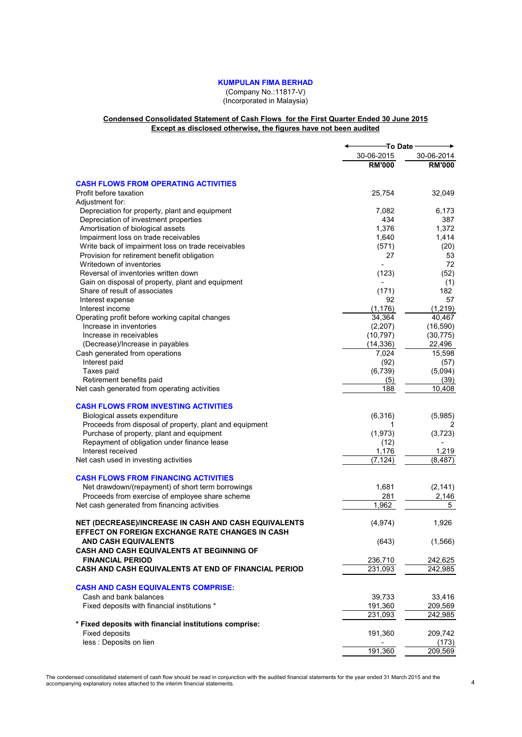# **KUMPULAN FIMA BERHAD**

(Company No.:11817-V) (Incorporated in Malaysia)

#### **Condensed Consolidated Statement of Cash Flows for the First Quarter Ended 30 June 2015 Except as disclosed otherwise, the figures have not been audited**

|                                                                                                                | To Date                  |               |
|----------------------------------------------------------------------------------------------------------------|--------------------------|---------------|
|                                                                                                                | 30-06-2015               | 30-06-2014    |
|                                                                                                                | <b>RM'000</b>            | <b>RM'000</b> |
| <b>CASH FLOWS FROM OPERATING ACTIVITIES</b>                                                                    |                          |               |
| Profit before taxation                                                                                         | 25,754                   | 32,049        |
| Adjustment for:                                                                                                |                          |               |
| Depreciation for property, plant and equipment                                                                 | 7,082                    | 6,173         |
| Depreciation of investment properties                                                                          | 434                      | 387           |
| Amortisation of biological assets                                                                              | 1,376                    | 1,372         |
| Impairment loss on trade receivables                                                                           | 1,640                    | 1,414         |
| Write back of impairment loss on trade receivables                                                             | (571)                    | (20)          |
| Provision for retirement benefit obligation                                                                    | 27                       | 53            |
| Writedown of inventories                                                                                       |                          | 72            |
| Reversal of inventories written down                                                                           | (123)                    | (52)          |
| Gain on disposal of property, plant and equipment                                                              | $\overline{\phantom{0}}$ | (1)           |
| Share of result of associates                                                                                  | (171)                    | 182           |
| Interest expense                                                                                               | 92                       | 57            |
| Interest income                                                                                                | (1, 176)                 | (1, 219)      |
| Operating profit before working capital changes                                                                | 34,364                   | 40,467        |
| Increase in inventories                                                                                        | (2,207)                  | (16, 590)     |
| Increase in receivables                                                                                        | (10, 797)                | (30, 775)     |
| (Decrease)/Increase in payables                                                                                | (14, 336)                | 22,496        |
| Cash generated from operations                                                                                 | 7,024                    | 15,598        |
| Interest paid                                                                                                  | (92)                     | (57)          |
| Taxes paid                                                                                                     | (6, 739)                 | (5,094)       |
| Retirement benefits paid                                                                                       | (5)                      | (39)          |
| Net cash generated from operating activities                                                                   | 188                      | 10,408        |
| <b>CASH FLOWS FROM INVESTING ACTIVITIES</b>                                                                    |                          |               |
| Biological assets expenditure                                                                                  | (6,316)                  | (5,985)       |
| Proceeds from disposal of property, plant and equipment                                                        | 1                        | 2             |
| Purchase of property, plant and equipment                                                                      | (1,973)                  | (3, 723)      |
| Repayment of obligation under finance lease                                                                    | (12)                     |               |
| Interest received                                                                                              | 1,176                    | 1,219         |
| Net cash used in investing activities                                                                          | (7, 124)                 | (8, 487)      |
| <b>CASH FLOWS FROM FINANCING ACTIVITIES</b>                                                                    |                          |               |
| Net drawdown/(repayment) of short term borrowings                                                              | 1,681                    | (2, 141)      |
| Proceeds from exercise of employee share scheme                                                                | 281                      | 2,146         |
| Net cash generated from financing activities                                                                   | 1,962                    | 5             |
| NET (DECREASE)/INCREASE IN CASH AND CASH EQUIVALENTS<br><b>EFFECT ON FOREIGN EXCHANGE RATE CHANGES IN CASH</b> | (4, 974)                 | 1,926         |
| AND CASH EQUIVALENTS<br><b>CASH AND CASH EQUIVALENTS AT BEGINNING OF</b>                                       | (643)                    | (1, 566)      |
| <b>FINANCIAL PERIOD</b>                                                                                        | 236,710                  | 242,625       |
| CASH AND CASH EQUIVALENTS AT END OF FINANCIAL PERIOD                                                           | 231,093                  | 242,985       |
| <b>CASH AND CASH EQUIVALENTS COMPRISE:</b>                                                                     |                          |               |
| Cash and bank balances                                                                                         | 39,733                   | 33,416        |
| Fixed deposits with financial institutions *                                                                   | 191,360                  | 209,569       |
|                                                                                                                | 231,093                  | 242,985       |
| * Fixed deposits with financial institutions comprise:                                                         |                          |               |
| <b>Fixed deposits</b>                                                                                          | 191,360                  | 209,742       |
| less : Deposits on lien                                                                                        |                          | (173)         |
|                                                                                                                | 191,360                  | 209,569       |
|                                                                                                                |                          |               |

The condensed consolidated statement of cash flow should be read in conjunction with the audited financial statements for the year ended 31 March 2015 and the 40 the para ended 31 March 2015 and the 44 the state in the ter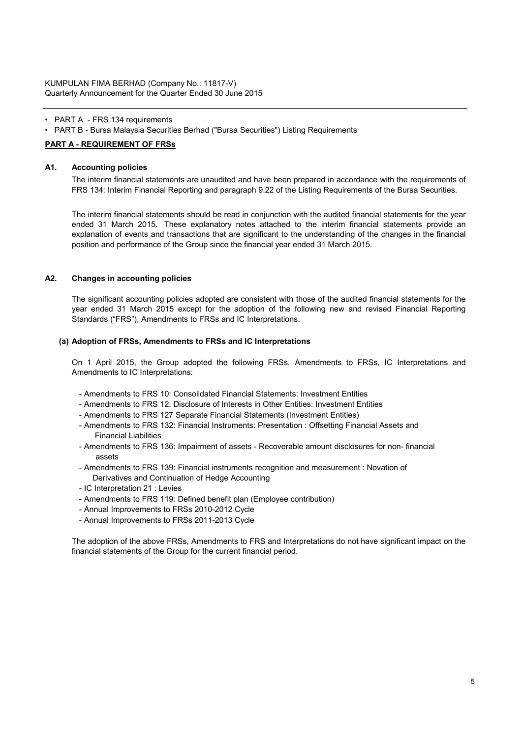# • PART A - FRS 134 requirements

• PART B - Bursa Malaysia Securities Berhad ("Bursa Securities") Listing Requirements

# **PART A - REQUIREMENT OF FRSs**

#### **A1. Accounting policies**

The interim financial statements are unaudited and have been prepared in accordance with the requirements of FRS 134: Interim Financial Reporting and paragraph 9.22 of the Listing Requirements of the Bursa Securities.

The interim financial statements should be read in conjunction with the audited financial statements for the year ended 31 March 2015. These explanatory notes attached to the interim financial statements provide an explanation of events and transactions that are significant to the understanding of the changes in the financial position and performance of the Group since the financial year ended 31 March 2015.

#### **A2. Changes in accounting policies**

The significant accounting policies adopted are consistent with those of the audited financial statements for the year ended 31 March 2015 except for the adoption of the following new and revised Financial Reporting Standards ("FRS"), Amendments to FRSs and IC Interpretations.

#### **(a) Adoption of FRSs, Amendments to FRSs and IC Interpretations**

On 1 April 2015, the Group adopted the following FRSs, Amendments to FRSs, IC Interpretations and Amendments to IC Interpretations:

- Amendments to FRS 10: Consolidated Financial Statements: Investment Entities
- Amendments to FRS 12: Disclosure of Interests in Other Entities: Investment Entities
- Amendments to FRS 127 Separate Financial Statements (Investment Entities)
- Amendments to FRS 132: Financial Instruments: Presentation : Offsetting Financial Assets and Financial Liabilities
- Amendments to FRS 136: Impairment of assets Recoverable amount disclosures for non- financial assets
- Amendments to FRS 139: Financial instruments recognition and measurement : Novation of Derivatives and Continuation of Hedge Accounting
- IC Interpretation 21 : Levies
- Amendments to FRS 119: Defined benefit plan (Employee contribution)
- Annual Improvements to FRSs 2010-2012 Cycle
- Annual Improvements to FRSs 2011-2013 Cycle

The adoption of the above FRSs, Amendments to FRS and Interpretations do not have significant impact on the financial statements of the Group for the current financial period.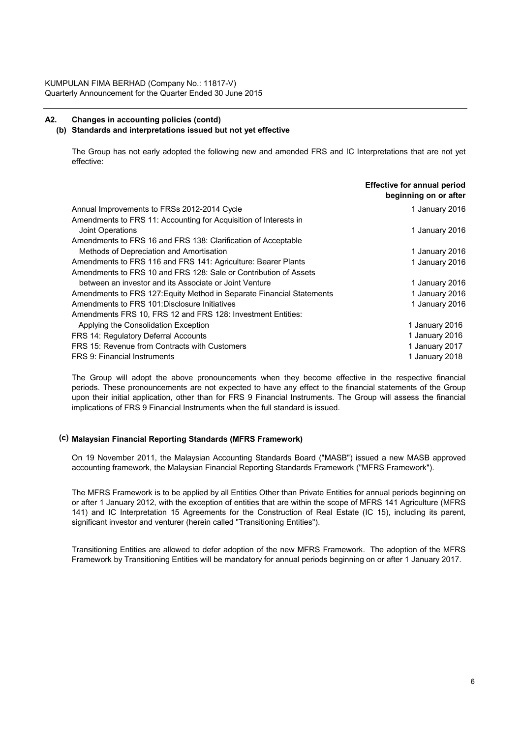# **A2. Changes in accounting policies (contd)**

#### **(b) Standards and interpretations issued but not yet effective**

The Group has not early adopted the following new and amended FRS and IC Interpretations that are not yet effective:

|                                                                       | <b>Effective for annual period</b><br>beginning on or after |
|-----------------------------------------------------------------------|-------------------------------------------------------------|
| Annual Improvements to FRSs 2012-2014 Cycle                           | 1 January 2016                                              |
| Amendments to FRS 11: Accounting for Acquisition of Interests in      |                                                             |
| Joint Operations                                                      | 1 January 2016                                              |
| Amendments to FRS 16 and FRS 138: Clarification of Acceptable         |                                                             |
| Methods of Depreciation and Amortisation                              | 1 January 2016                                              |
| Amendments to FRS 116 and FRS 141: Agriculture: Bearer Plants         | 1 January 2016                                              |
| Amendments to FRS 10 and FRS 128: Sale or Contribution of Assets      |                                                             |
| between an investor and its Associate or Joint Venture                | 1 January 2016                                              |
| Amendments to FRS 127: Equity Method in Separate Financial Statements | 1 January 2016                                              |
| Amendments to FRS 101: Disclosure Initiatives                         | 1 January 2016                                              |
| Amendments FRS 10, FRS 12 and FRS 128: Investment Entities:           |                                                             |
| Applying the Consolidation Exception                                  | 1 January 2016                                              |
| FRS 14: Regulatory Deferral Accounts                                  | 1 January 2016                                              |
| FRS 15: Revenue from Contracts with Customers                         | 1 January 2017                                              |
| FRS 9: Financial Instruments                                          | 1 January 2018                                              |

The Group will adopt the above pronouncements when they become effective in the respective financial periods. These pronouncements are not expected to have any effect to the financial statements of the Group upon their initial application, other than for FRS 9 Financial Instruments. The Group will assess the financial implications of FRS 9 Financial Instruments when the full standard is issued.

#### **(c) Malaysian Financial Reporting Standards (MFRS Framework)**

On 19 November 2011, the Malaysian Accounting Standards Board ("MASB") issued a new MASB approved accounting framework, the Malaysian Financial Reporting Standards Framework ("MFRS Framework").

The MFRS Framework is to be applied by all Entities Other than Private Entities for annual periods beginning on or after 1 January 2012, with the exception of entities that are within the scope of MFRS 141 Agriculture (MFRS 141) and IC Interpretation 15 Agreements for the Construction of Real Estate (IC 15), including its parent, significant investor and venturer (herein called "Transitioning Entities").

Transitioning Entities are allowed to defer adoption of the new MFRS Framework. The adoption of the MFRS Framework by Transitioning Entities will be mandatory for annual periods beginning on or after 1 January 2017.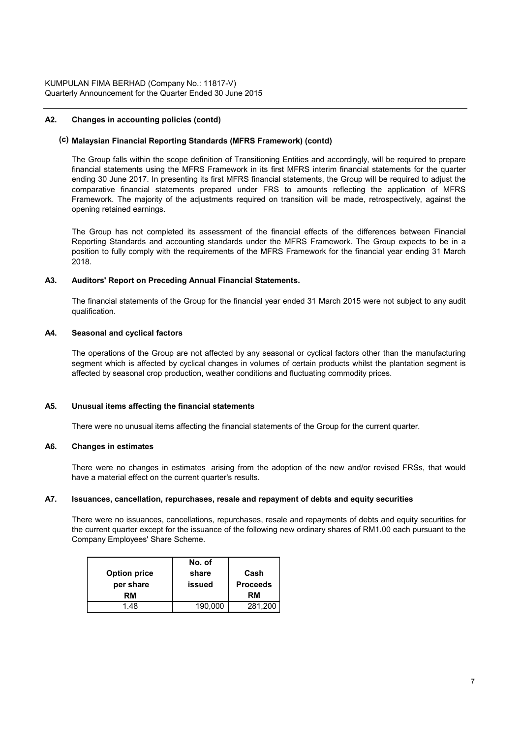# **A2. Changes in accounting policies (contd)**

#### **(c) Malaysian Financial Reporting Standards (MFRS Framework) (contd)**

The Group falls within the scope definition of Transitioning Entities and accordingly, will be required to prepare financial statements using the MFRS Framework in its first MFRS interim financial statements for the quarter ending 30 June 2017. In presenting its first MFRS financial statements, the Group will be required to adjust the comparative financial statements prepared under FRS to amounts reflecting the application of MFRS Framework. The majority of the adjustments required on transition will be made, retrospectively, against the opening retained earnings.

The Group has not completed its assessment of the financial effects of the differences between Financial Reporting Standards and accounting standards under the MFRS Framework. The Group expects to be in a position to fully comply with the requirements of the MFRS Framework for the financial year ending 31 March 2018.

#### **A3. Auditors' Report on Preceding Annual Financial Statements.**

The financial statements of the Group for the financial year ended 31 March 2015 were not subject to any audit qualification.

#### **A4. Seasonal and cyclical factors**

The operations of the Group are not affected by any seasonal or cyclical factors other than the manufacturing segment which is affected by cyclical changes in volumes of certain products whilst the plantation segment is affected by seasonal crop production, weather conditions and fluctuating commodity prices.

#### **A5. Unusual items affecting the financial statements**

There were no unusual items affecting the financial statements of the Group for the current quarter.

#### **A6. Changes in estimates**

There were no changes in estimates arising from the adoption of the new and/or revised FRSs, that would have a material effect on the current quarter's results.

#### **A7. Issuances, cancellation, repurchases, resale and repayment of debts and equity securities**

There were no issuances, cancellations, repurchases, resale and repayments of debts and equity securities for the current quarter except for the issuance of the following new ordinary shares of RM1.00 each pursuant to the Company Employees' Share Scheme.

|                     | No. of  |                 |
|---------------------|---------|-----------------|
| <b>Option price</b> | share   | Cash            |
| per share           | issued  | <b>Proceeds</b> |
| RM                  |         | <b>RM</b>       |
| 1 48                | 190,000 | 281,200         |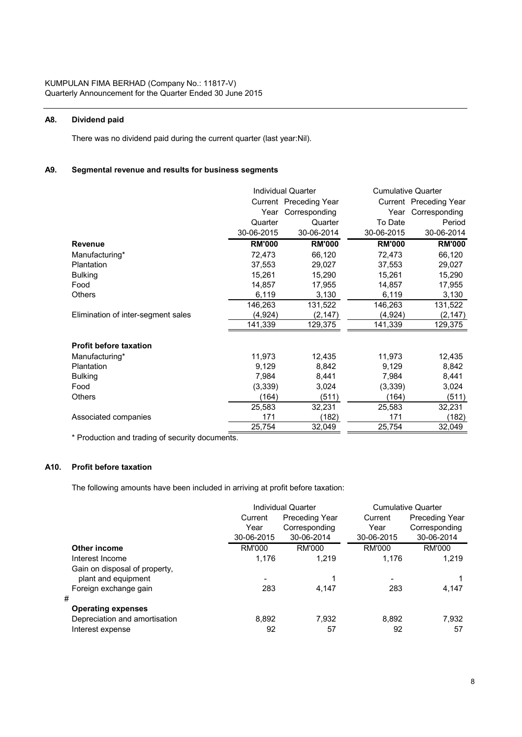# **A8. Dividend paid**

There was no dividend paid during the current quarter (last year:Nil).

# **A9. Segmental revenue and results for business segments**

|                                    |               | Individual Quarter     |               | <b>Cumulative Quarter</b> |
|------------------------------------|---------------|------------------------|---------------|---------------------------|
|                                    |               | Current Preceding Year |               | Current Preceding Year    |
|                                    | Year          | Corresponding          | Year          | Corresponding             |
|                                    | Quarter       | Quarter                | To Date       | Period                    |
|                                    | 30-06-2015    | 30-06-2014             | 30-06-2015    | 30-06-2014                |
| <b>Revenue</b>                     | <b>RM'000</b> | <b>RM'000</b>          | <b>RM'000</b> | <b>RM'000</b>             |
| Manufacturing*                     | 72,473        | 66,120                 | 72,473        | 66,120                    |
| <b>Plantation</b>                  | 37,553        | 29,027                 | 37,553        | 29,027                    |
| <b>Bulking</b>                     | 15,261        | 15,290                 | 15,261        | 15,290                    |
| Food                               | 14,857        | 17,955                 | 14,857        | 17,955                    |
| Others                             | 6,119         | 3,130                  | 6,119         | 3,130                     |
|                                    | 146,263       | 131,522                | 146,263       | 131,522                   |
| Elimination of inter-segment sales | (4,924)       | (2, 147)               | (4,924)       | (2, 147)                  |
|                                    | 141,339       | 129,375                | 141,339       | 129,375                   |
| <b>Profit before taxation</b>      |               |                        |               |                           |
| Manufacturing*                     | 11,973        | 12,435                 | 11,973        | 12,435                    |
| Plantation                         | 9,129         | 8,842                  | 9,129         | 8,842                     |
| <b>Bulking</b>                     | 7,984         | 8,441                  | 7,984         | 8,441                     |
| Food                               | (3,339)       | 3,024                  | (3, 339)      | 3,024                     |
| Others                             | (164)         | (511)                  | (164)         | (511)                     |
|                                    | 25,583        | 32,231                 | 25,583        | 32,231                    |
| Associated companies               | 171           | (182)                  | 171           | (182)                     |
|                                    | 25,754        | 32,049                 | 25,754        | 32,049                    |

\* Production and trading of security documents.

# **A10. Profit before taxation**

The following amounts have been included in arriving at profit before taxation:

|                               | <b>Individual Quarter</b> |                       | <b>Cumulative Quarter</b> |                       |
|-------------------------------|---------------------------|-----------------------|---------------------------|-----------------------|
|                               | Current                   | <b>Preceding Year</b> | Current                   | <b>Preceding Year</b> |
|                               | Year                      | Corresponding         | Year                      | Corresponding         |
|                               | 30-06-2015                | 30-06-2014            | 30-06-2015                | 30-06-2014            |
| Other income                  | RM'000                    | RM'000                | <b>RM'000</b>             | RM'000                |
| Interest Income               | 1.176                     | 1.219                 | 1.176                     | 1.219                 |
| Gain on disposal of property, |                           |                       |                           |                       |
| plant and equipment           | -                         |                       | ۰                         |                       |
| Foreign exchange gain         | 283                       | 4.147                 | 283                       | 4,147                 |
| #                             |                           |                       |                           |                       |
| <b>Operating expenses</b>     |                           |                       |                           |                       |
| Depreciation and amortisation | 8.892                     | 7,932                 | 8,892                     | 7,932                 |
| Interest expense              | 92                        | 57                    | 92                        | 57                    |
|                               |                           |                       |                           |                       |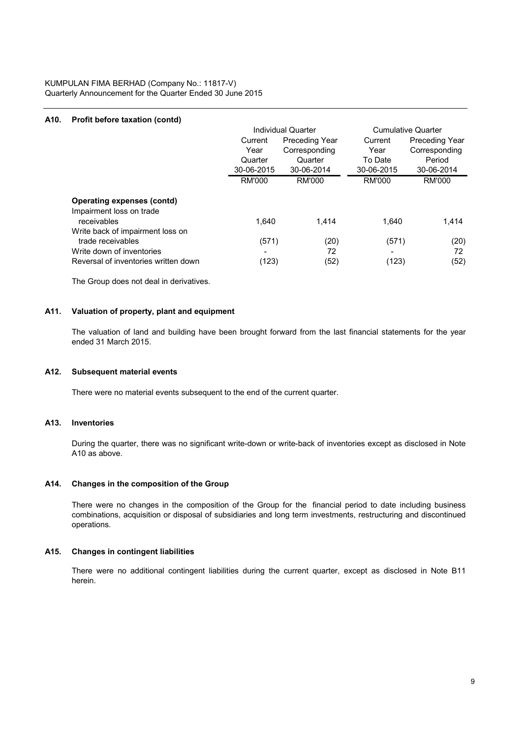KUMPULAN FIMA BERHAD (Company No.: 11817-V) Quarterly Announcement for the Quarter Ended 30 June 2015

# **A10. Profit before taxation (contd)**

|                                                                                                                            | Current<br>Year<br>Quarter  | Individual Quarter<br><b>Preceding Year</b><br>Corresponding<br>Quarter | Current<br>Year<br>To Date | <b>Cumulative Quarter</b><br><b>Preceding Year</b><br>Corresponding<br>Period |
|----------------------------------------------------------------------------------------------------------------------------|-----------------------------|-------------------------------------------------------------------------|----------------------------|-------------------------------------------------------------------------------|
|                                                                                                                            | 30-06-2015<br><b>RM'000</b> | 30-06-2014<br>RM'000                                                    | 30-06-2015<br>RM'000       | 30-06-2014<br>RM'000                                                          |
|                                                                                                                            |                             |                                                                         |                            |                                                                               |
| <b>Operating expenses (contd)</b><br>Impairment loss on trade                                                              |                             |                                                                         |                            |                                                                               |
| receivables                                                                                                                | 1.640                       | 1.414                                                                   | 1.640                      | 1,414                                                                         |
| Write back of impairment loss on<br>trade receivables<br>Write down of inventories<br>Reversal of inventories written down | (571)<br>(123)              | (20)<br>72<br>(52)                                                      | (571)<br>(123)             | (20)<br>72<br>(52)                                                            |
|                                                                                                                            |                             |                                                                         |                            |                                                                               |

The Group does not deal in derivatives.

#### **A11. Valuation of property, plant and equipment**

The valuation of land and building have been brought forward from the last financial statements for the year ended 31 March 2015.

#### **A12. Subsequent material events**

There were no material events subsequent to the end of the current quarter.

#### **A13. Inventories**

During the quarter, there was no significant write-down or write-back of inventories except as disclosed in Note A10 as above.

#### **A14. Changes in the composition of the Group**

There were no changes in the composition of the Group for the financial period to date including business combinations, acquisition or disposal of subsidiaries and long term investments, restructuring and discontinued operations.

#### **A15. Changes in contingent liabilities**

There were no additional contingent liabilities during the current quarter, except as disclosed in Note B11 herein.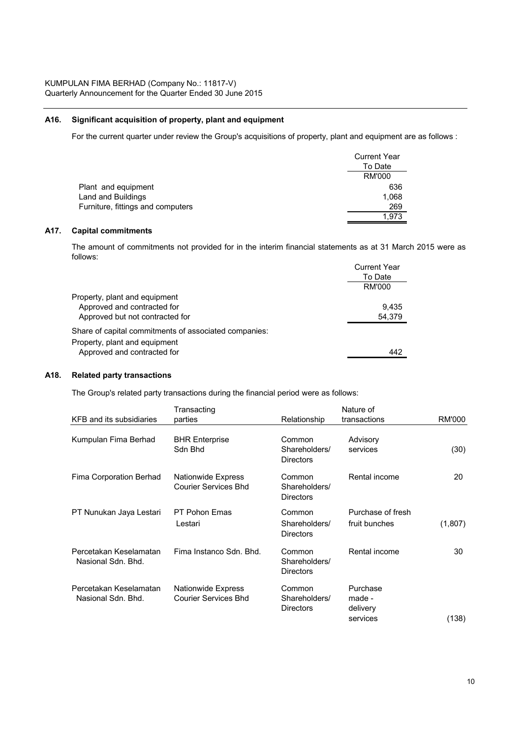# **A16. Significant acquisition of property, plant and equipment**

For the current quarter under review the Group's acquisitions of property, plant and equipment are as follows :

|                                   | <b>Current Year</b> |
|-----------------------------------|---------------------|
|                                   | To Date             |
|                                   | RM'000              |
| Plant and equipment               | 636                 |
| Land and Buildings                | 1,068               |
| Furniture, fittings and computers | 269                 |
|                                   | 1.973               |

#### **A17. Capital commitments**

The amount of commitments not provided for in the interim financial statements as at 31 March 2015 were as follows:

|                                                       | <b>Current Year</b> |
|-------------------------------------------------------|---------------------|
|                                                       | To Date             |
|                                                       | RM'000              |
| Property, plant and equipment                         |                     |
| Approved and contracted for                           | 9.435               |
| Approved but not contracted for                       | 54.379              |
| Share of capital commitments of associated companies: |                     |
| Property, plant and equipment                         |                     |
| Approved and contracted for                           | 442                 |
|                                                       |                     |

#### **A18. Related party transactions**

The Group's related party transactions during the financial period were as follows:

|                                              | Transacting                                       |                                             | Nature of                                  |         |
|----------------------------------------------|---------------------------------------------------|---------------------------------------------|--------------------------------------------|---------|
| KFB and its subsidiaries                     | parties                                           | Relationship                                | transactions                               | RM'000  |
| Kumpulan Fima Berhad                         | <b>BHR Enterprise</b><br>Sdn Bhd                  | Common<br>Shareholders/<br><b>Directors</b> | Advisory<br>services                       | (30)    |
| Fima Corporation Berhad                      | Nationwide Express<br><b>Courier Services Bhd</b> | Common<br>Shareholders/<br><b>Directors</b> | Rental income                              | 20      |
| PT Nunukan Jaya Lestari                      | <b>PT Pohon Emas</b><br>Lestari                   | Common<br>Shareholders/<br><b>Directors</b> | Purchase of fresh<br>fruit bunches         | (1,807) |
| Percetakan Keselamatan<br>Nasional Sdn. Bhd. | Fima Instanco Sdn. Bhd.                           | Common<br>Shareholders/<br><b>Directors</b> | Rental income                              | 30      |
| Percetakan Keselamatan<br>Nasional Sdn. Bhd. | Nationwide Express<br><b>Courier Services Bhd</b> | Common<br>Shareholders/<br><b>Directors</b> | Purchase<br>made -<br>delivery<br>services | (138)   |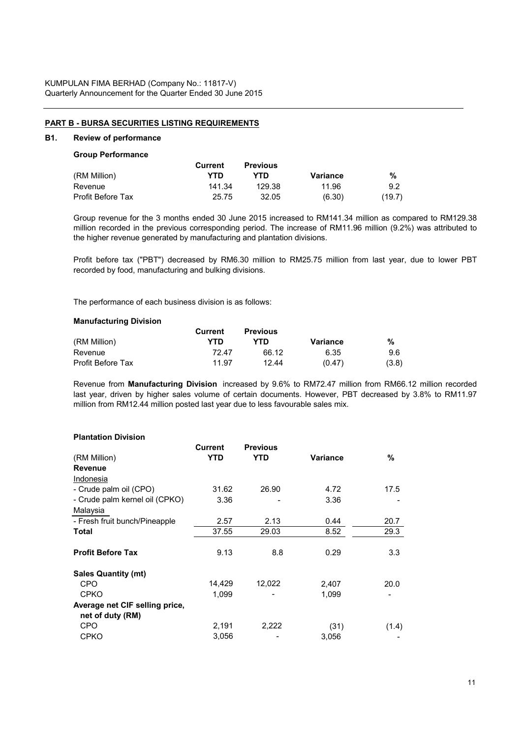#### **PART B - BURSA SECURITIES LISTING REQUIREMENTS**

### **B1. Review of performance**

|                   | Current | <b>Previous</b> |          |        |
|-------------------|---------|-----------------|----------|--------|
| (RM Million)      | YTD     | YTN             | Variance | %      |
| Revenue           | 141.34  | 129.38          | 11.96    | 9.2    |
| Profit Before Tax | 25.75   | 32.05           | (6.30)   | (19.7) |

Group revenue for the 3 months ended 30 June 2015 increased to RM141.34 million as compared to RM129.38 million recorded in the previous corresponding period. The increase of RM11.96 million (9.2%) was attributed to the higher revenue generated by manufacturing and plantation divisions.

Profit before tax ("PBT") decreased by RM6.30 million to RM25.75 million from last year, due to lower PBT recorded by food, manufacturing and bulking divisions.

The performance of each business division is as follows:

#### **Manufacturing Division**

|                   | Current | <b>Previous</b> |          |       |
|-------------------|---------|-----------------|----------|-------|
| (RM Million)      | YTD     | YTN             | Variance | %     |
| Revenue           | 72 47   | 66.12           | 6.35     | 9.6   |
| Profit Before Tax | 11.97   | 12.44           | (0.47)   | (3.8) |

Revenue from **Manufacturing Division** increased by 9.6% to RM72.47 million from RM66.12 million recorded last year, driven by higher sales volume of certain documents. However, PBT decreased by 3.8% to RM11.97 million from RM12.44 million posted last year due to less favourable sales mix.

# **Plantation Division**

| <b>Current</b> | <b>Previous</b>    |                   |                         |
|----------------|--------------------|-------------------|-------------------------|
|                |                    |                   | %                       |
|                |                    |                   |                         |
|                |                    |                   |                         |
| 31.62          | 26.90              | 4.72              | 17.5                    |
| 3.36           |                    | 3.36              |                         |
|                |                    |                   |                         |
| 2.57           | 2.13               | 0.44              | 20.7                    |
| 37.55          | 29.03              | 8.52              | 29.3                    |
|                |                    |                   |                         |
|                |                    |                   | 3.3                     |
|                |                    |                   |                         |
| 14,429         | 12,022             | 2,407             | 20.0                    |
| 1,099          |                    | 1,099             |                         |
|                |                    |                   |                         |
|                |                    |                   |                         |
| 2,191          | 2,222              | (31)              | (1.4)                   |
| 3,056          |                    | 3,056             |                         |
|                | <b>YTD</b><br>9.13 | <b>YTD</b><br>8.8 | <b>Variance</b><br>0.29 |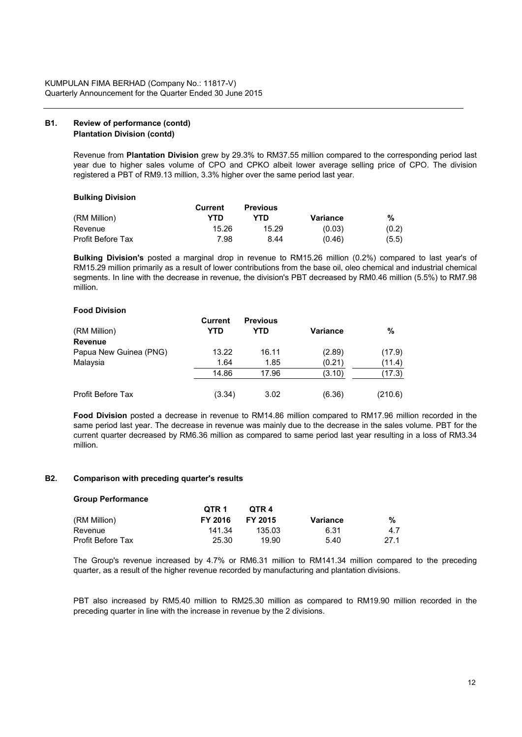# **B1. Review of performance (contd) Plantation Division (contd)**

Revenue from **Plantation Division** grew by 29.3% to RM37.55 million compared to the corresponding period last year due to higher sales volume of CPO and CPKO albeit lower average selling price of CPO. The division registered a PBT of RM9.13 million, 3.3% higher over the same period last year.

#### **Bulking Division**

|                   | Current | <b>Previous</b> |          |       |
|-------------------|---------|-----------------|----------|-------|
| (RM Million)      | YTD     | YTD.            | Variance | %     |
| Revenue           | 15.26   | 15.29           | (0.03)   | (0.2) |
| Profit Before Tax | 7.98    | 8.44            | (0.46)   | (5.5) |

**Bulking Division's** posted a marginal drop in revenue to RM15.26 million (0.2%) compared to last year's of RM15.29 million primarily as a result of lower contributions from the base oil, oleo chemical and industrial chemical segments. In line with the decrease in revenue, the division's PBT decreased by RM0.46 million (5.5%) to RM7.98 million.

#### **Food Division**

|                        | <b>Current</b> | <b>Previous</b> |                 |         |
|------------------------|----------------|-----------------|-----------------|---------|
| (RM Million)           | YTD            | YTD             | <b>Variance</b> | %       |
| Revenue                |                |                 |                 |         |
| Papua New Guinea (PNG) | 13.22          | 16.11           | (2.89)          | (17.9)  |
| Malaysia               | 1.64           | 1.85            | (0.21)          | (11.4)  |
|                        | 14.86          | 17.96           | (3.10)          | (17.3)  |
| Profit Before Tax      | (3.34)         | 3.02            | (6.36)          | (210.6) |

**Food Division** posted a decrease in revenue to RM14.86 million compared to RM17.96 million recorded in the same period last year. The decrease in revenue was mainly due to the decrease in the sales volume. PBT for the current quarter decreased by RM6.36 million as compared to same period last year resulting in a loss of RM3.34 million.

## **B2. Comparison with preceding quarter's results**

#### **Group Performance**

|                   | QTR 1   | OTR 4   |                 |      |
|-------------------|---------|---------|-----------------|------|
| (RM Million)      | FY 2016 | FY 2015 | <b>Variance</b> | %    |
| Revenue           | 141.34  | 135.03  | 6.31            | 4.7  |
| Profit Before Tax | 25.30   | 19.90   | 5.40            | 27.1 |

The Group's revenue increased by 4.7% or RM6.31 million to RM141.34 million compared to the preceding quarter, as a result of the higher revenue recorded by manufacturing and plantation divisions.

PBT also increased by RM5.40 million to RM25.30 million as compared to RM19.90 million recorded in the preceding quarter in line with the increase in revenue by the 2 divisions.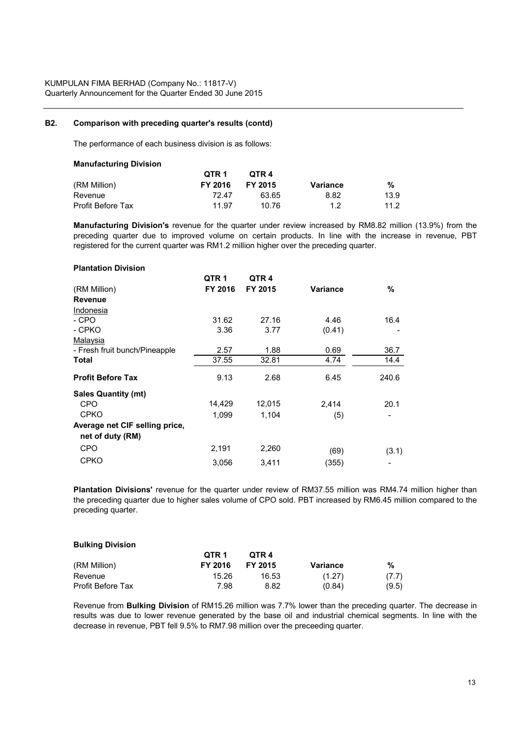#### **B2. Comparison with preceding quarter's results (contd)**

The performance of each business division is as follows:

#### **Manufacturing Division**

|                   | QTR 1   | OTR 4   |          |      |
|-------------------|---------|---------|----------|------|
| (RM Million)      | FY 2016 | FY 2015 | Variance | %    |
| Revenue           | 72.47   | 63.65   | 8.82     | 13.9 |
| Profit Before Tax | 11.97   | 10.76   | 1.2      | 11.2 |

**Manufacturing Division's** revenue for the quarter under review increased by RM8.82 million (13.9%) from the preceding quarter due to improved volume on certain products. In line with the increase in revenue, PBT registered for the current quarter was RM1.2 million higher over the preceding quarter.

#### **Plantation Division**

|                                | QTR <sub>1</sub> | QTR <sub>4</sub> |                 |       |
|--------------------------------|------------------|------------------|-----------------|-------|
| (RM Million)                   | FY 2016          | FY 2015          | <b>Variance</b> | %     |
| <b>Revenue</b>                 |                  |                  |                 |       |
| Indonesia                      |                  |                  |                 |       |
| - CPO                          | 31.62            | 27.16            | 4.46            | 16.4  |
| - CPKO                         | 3.36             | 3.77             | (0.41)          |       |
| Malaysia                       |                  |                  |                 |       |
| - Fresh fruit bunch/Pineapple  | 2.57             | 1.88             | 0.69            | 36.7  |
| Total                          | 37.55            | 32.81            | 4.74            | 14.4  |
| <b>Profit Before Tax</b>       | 9.13             | 2.68             | 6.45            | 240.6 |
| <b>Sales Quantity (mt)</b>     |                  |                  |                 |       |
| <b>CPO</b>                     | 14,429           | 12,015           | 2,414           | 20.1  |
| <b>CPKO</b>                    | 1,099            | 1,104            | (5)             |       |
| Average net CIF selling price, |                  |                  |                 |       |
| net of duty (RM)               |                  |                  |                 |       |
| <b>CPO</b>                     | 2,191            | 2,260            | (69)            | (3.1) |
| <b>CPKO</b>                    | 3,056            | 3,411            | (355)           |       |

**Plantation Divisions'** revenue for the quarter under review of RM37.55 million was RM4.74 million higher than the preceding quarter due to higher sales volume of CPO sold. PBT increased by RM6.45 million compared to the preceding quarter.

#### **Bulking Division**

|                          | QTR 1   | OTR 4   |          |       |
|--------------------------|---------|---------|----------|-------|
| (RM Million)             | FY 2016 | FY 2015 | Variance | %     |
| Revenue                  | 15.26   | 16.53   | (1.27)   | (7.7) |
| <b>Profit Before Tax</b> | 7.98    | 8.82    | (0.84)   | (9.5) |

Revenue from **Bulking Division** of RM15.26 million was 7.7% lower than the preceding quarter. The decrease in results was due to lower revenue generated by the base oil and industrial chemical segments. In line with the decrease in revenue, PBT fell 9.5% to RM7.98 million over the preceeding quarter.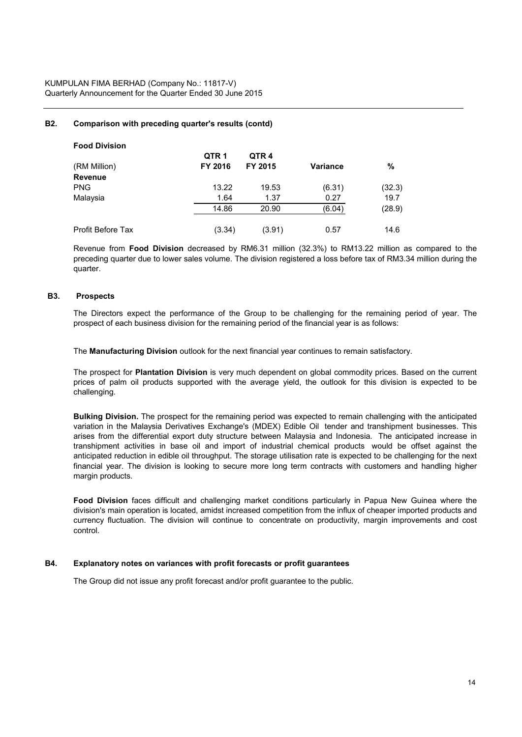KUMPULAN FIMA BERHAD (Company No.: 11817-V) Quarterly Announcement for the Quarter Ended 30 June 2015

#### **B2. Comparison with preceding quarter's results (contd)**

| <b>Food Division</b> |                  |                  |                 |        |
|----------------------|------------------|------------------|-----------------|--------|
|                      | QTR <sub>1</sub> | QTR <sub>4</sub> |                 |        |
| (RM Million)         | FY 2016          | FY 2015          | <b>Variance</b> | %      |
| <b>Revenue</b>       |                  |                  |                 |        |
| <b>PNG</b>           | 13.22            | 19.53            | (6.31)          | (32.3) |
| Malaysia             | 1.64             | 1.37             | 0.27            | 19.7   |
|                      | 14.86            | 20.90            | (6.04)          | (28.9) |
| Profit Before Tax    | (3.34)           | (3.91)           | 0.57            | 14.6   |

Revenue from **Food Division** decreased by RM6.31 million (32.3%) to RM13.22 million as compared to the preceding quarter due to lower sales volume. The division registered a loss before tax of RM3.34 million during the quarter.

#### **B3. Prospects**

The Directors expect the performance of the Group to be challenging for the remaining period of year. The prospect of each business division for the remaining period of the financial year is as follows:

The **Manufacturing Division** outlook for the next financial year continues to remain satisfactory.

The prospect for **Plantation Division** is very much dependent on global commodity prices. Based on the current prices of palm oil products supported with the average yield, the outlook for this division is expected to be challenging.

**Bulking Division.** The prospect for the remaining period was expected to remain challenging with the anticipated variation in the Malaysia Derivatives Exchange's (MDEX) Edible Oil tender and transhipment businesses. This arises from the differential export duty structure between Malaysia and Indonesia. The anticipated increase in transhipment activities in base oil and import of industrial chemical products would be offset against the anticipated reduction in edible oil throughput. The storage utilisation rate is expected to be challenging for the next financial year. The division is looking to secure more long term contracts with customers and handling higher margin products.

**Food Division** faces difficult and challenging market conditions particularly in Papua New Guinea where the division's main operation is located, amidst increased competition from the influx of cheaper imported products and currency fluctuation. The division will continue to concentrate on productivity, margin improvements and cost control.

#### **B4. Explanatory notes on variances with profit forecasts or profit guarantees**

The Group did not issue any profit forecast and/or profit guarantee to the public.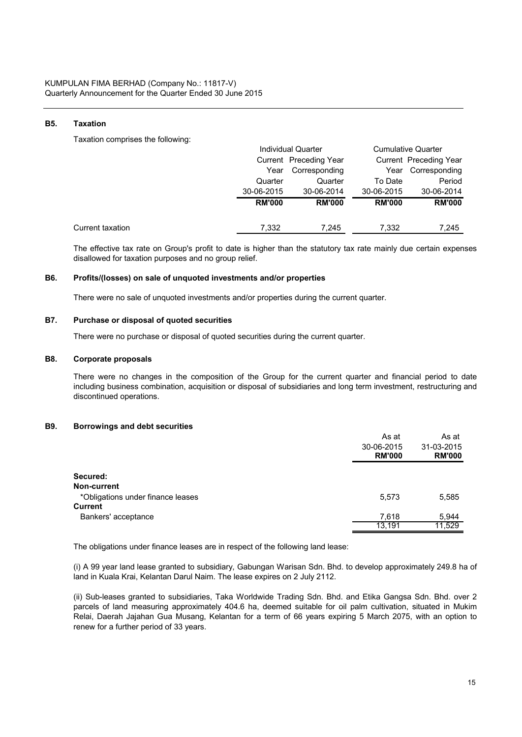#### **B5. Taxation**

Taxation comprises the following:

|                  |               | <b>Individual Quarter</b> |               | <b>Cumulative Quarter</b> |
|------------------|---------------|---------------------------|---------------|---------------------------|
|                  |               | Current Preceding Year    |               | Current Preceding Year    |
|                  | Year          | Corresponding             | Year          | Corresponding             |
|                  | Quarter       | Quarter                   | To Date       | Period                    |
|                  | 30-06-2015    | 30-06-2014                | 30-06-2015    | 30-06-2014                |
|                  | <b>RM'000</b> | <b>RM'000</b>             | <b>RM'000</b> | <b>RM'000</b>             |
| Current taxation | 7.332         | 7.245                     | 7,332         | 7,245                     |

The effective tax rate on Group's profit to date is higher than the statutory tax rate mainly due certain expenses disallowed for taxation purposes and no group relief.

#### **B6. Profits/(losses) on sale of unquoted investments and/or properties**

There were no sale of unquoted investments and/or properties during the current quarter.

# **B7. Purchase or disposal of quoted securities**

There were no purchase or disposal of quoted securities during the current quarter.

#### **B8. Corporate proposals**

There were no changes in the composition of the Group for the current quarter and financial period to date including business combination, acquisition or disposal of subsidiaries and long term investment, restructuring and discontinued operations.

# **B9. Borrowings and debt securities**

|                                   | As at         | As at                       |
|-----------------------------------|---------------|-----------------------------|
|                                   | 30-06-2015    | 31-03-2015<br><b>RM'000</b> |
|                                   | <b>RM'000</b> |                             |
| Secured:                          |               |                             |
| Non-current                       |               |                             |
| *Obligations under finance leases | 5,573         | 5,585                       |
| <b>Current</b>                    |               |                             |
| Bankers' acceptance               | 7,618         | 5,944                       |
|                                   | 13,191        | 11,529                      |

The obligations under finance leases are in respect of the following land lease:

(i) A 99 year land lease granted to subsidiary, Gabungan Warisan Sdn. Bhd. to develop approximately 249.8 ha of land in Kuala Krai, Kelantan Darul Naim. The lease expires on 2 July 2112.

(ii) Sub-leases granted to subsidiaries, Taka Worldwide Trading Sdn. Bhd. and Etika Gangsa Sdn. Bhd. over 2 parcels of land measuring approximately 404.6 ha, deemed suitable for oil palm cultivation, situated in Mukim Relai, Daerah Jajahan Gua Musang, Kelantan for a term of 66 years expiring 5 March 2075, with an option to renew for a further period of 33 years.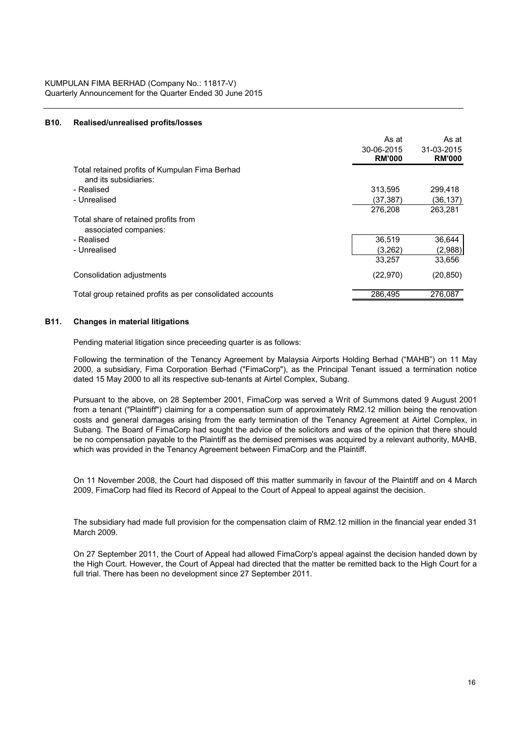#### **B10. Realised/unrealised profits/losses**

|                                                                         | As at<br>30-06-2015<br><b>RM'000</b> | As at<br>31-03-2015<br><b>RM'000</b> |
|-------------------------------------------------------------------------|--------------------------------------|--------------------------------------|
| Total retained profits of Kumpulan Fima Berhad<br>and its subsidiaries: |                                      |                                      |
| - Realised                                                              | 313,595                              | 299.418                              |
| - Unrealised                                                            | (37,387)                             | (36,137)                             |
|                                                                         | 276.208                              | 263.281                              |
| Total share of retained profits from<br>associated companies:           |                                      |                                      |
| - Realised                                                              | 36,519                               | 36,644                               |
| - Unrealised                                                            | (3,262)                              | (2,988)                              |
|                                                                         | 33,257                               | 33,656                               |
| Consolidation adjustments                                               | (22, 970)                            | (20, 850)                            |
| Total group retained profits as per consolidated accounts               | 286.495                              | 276.087                              |

#### **B11. Changes in material litigations**

Pending material litigation since preceeding quarter is as follows:

Following the termination of the Tenancy Agreement by Malaysia Airports Holding Berhad ("MAHB") on 11 May 2000, a subsidiary, Fima Corporation Berhad ("FimaCorp"), as the Principal Tenant issued a termination notice dated 15 May 2000 to all its respective sub-tenants at Airtel Complex, Subang.

Pursuant to the above, on 28 September 2001, FimaCorp was served a Writ of Summons dated 9 August 2001 from a tenant ("Plaintiff") claiming for a compensation sum of approximately RM2.12 million being the renovation costs and general damages arising from the early termination of the Tenancy Agreement at Airtel Complex, in Subang. The Board of FimaCorp had sought the advice of the solicitors and was of the opinion that there should be no compensation payable to the Plaintiff as the demised premises was acquired by a relevant authority, MAHB, which was provided in the Tenancy Agreement between FimaCorp and the Plaintiff.

On 11 November 2008, the Court had disposed off this matter summarily in favour of the Plaintiff and on 4 March 2009, FimaCorp had filed its Record of Appeal to the Court of Appeal to appeal against the decision.

The subsidiary had made full provision for the compensation claim of RM2.12 million in the financial year ended 31 March 2009.

On 27 September 2011, the Court of Appeal had allowed FimaCorp's appeal against the decision handed down by the High Court. However, the Court of Appeal had directed that the matter be remitted back to the High Court for a full trial. There has been no development since 27 September 2011.